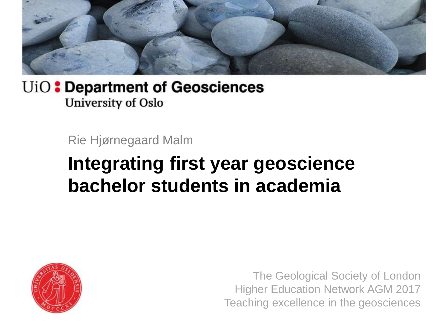

Rie Hjørnegaard Malm

## **Integrating first year geoscience bachelor students in academia**



The Geological Society of London Higher Education Network AGM 2017 Teaching excellence in the geosciences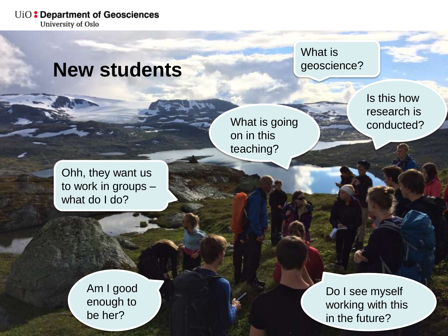### **New students**

What is geoscience?

What is going on in this teaching?

Is this how research is conducted?

Ohh, they want us to work in groups – what do I do?

> Am I good enough to be her?

Do I see myself working with this in the future?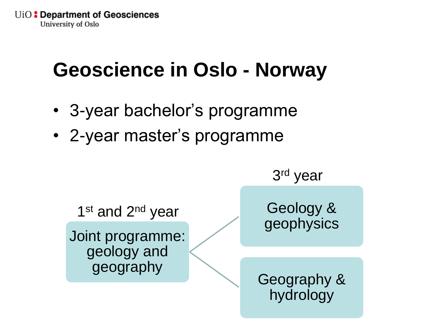# **Geoscience in Oslo - Norway**

- 3-year bachelor's programme
- 2-year master's programme

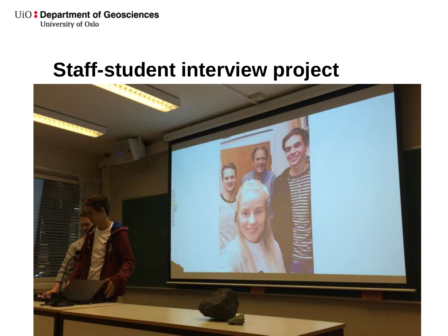### **Staff-student interview project**

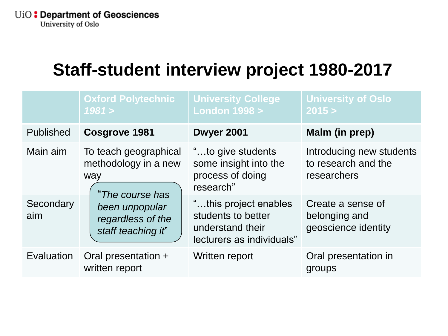### **Staff-student interview project 1980-2017**

|                  | <b>Oxford Polytechnic</b><br>1981 >                                                                                                  | <b>University College</b><br><b>London 1998 &gt;</b>                                         | <b>University of Oslo</b><br>2015 >                            |
|------------------|--------------------------------------------------------------------------------------------------------------------------------------|----------------------------------------------------------------------------------------------|----------------------------------------------------------------|
| Published        | Cosgrove 1981                                                                                                                        | Dwyer 2001                                                                                   | Malm (in prep)                                                 |
| Main aim         | To teach geographical<br>methodology in a new<br>way<br>"The course has<br>been unpopular<br>regardless of the<br>staff teaching it" | "to give students<br>some insight into the<br>process of doing<br>research"                  | Introducing new students<br>to research and the<br>researchers |
| Secondary<br>aim |                                                                                                                                      | "this project enables<br>students to better<br>understand their<br>lecturers as individuals" | Create a sense of<br>belonging and<br>geoscience identity      |
| Evaluation       | Oral presentation +<br>written report                                                                                                | Written report                                                                               | Oral presentation in<br>groups                                 |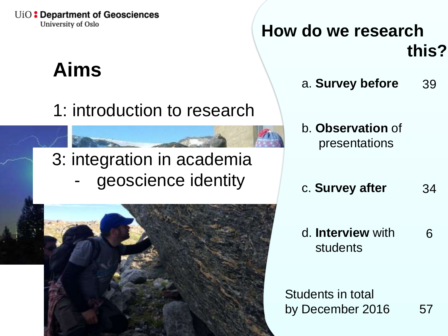# **Aims**

1: introduction to research

### 3: integration in academia geoscience identity

2: meeting a researcher



**How do we research this?**

- a. **Survey before** 39
- b. **Observation** of presentations
- c. **Survey after**  34
- d. **Interview** with students 6

Students in total by December 2016 57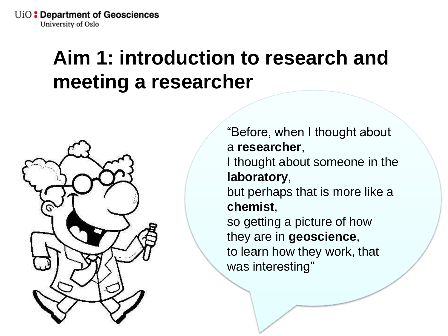## **Aim 1: introduction to research and meeting a researcher**



"Before, when I thought about a **researcher**, I thought about someone in the **laboratory**, but perhaps that is more like a **chemist**, so getting a picture of how they are in **geoscience**, to learn how they work, that was interesting"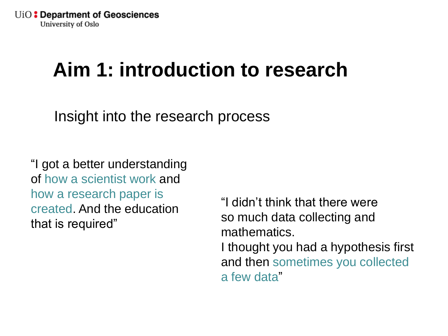## **Aim 1: introduction to research**

Insight into the research process

"I got a better understanding of how a scientist work and how a research paper is created. And the education that is required"

"I didn't think that there were so much data collecting and mathematics. I thought you had a hypothesis first and then sometimes you collected a few data"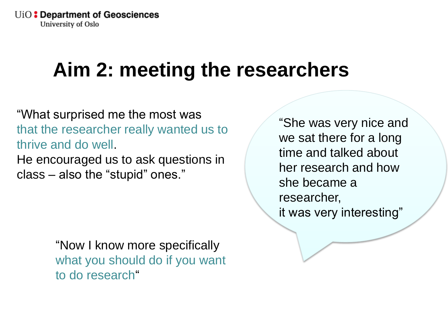## **Aim 2: meeting the researchers**

"What surprised me the most was that the researcher really wanted us to thrive and do well. He encouraged us to ask questions in

class – also the "stupid" ones."

"Now I know more specifically what you should do if you want to do research"

"She was very nice and we sat there for a long time and talked about her research and how she became a researcher, it was very interesting"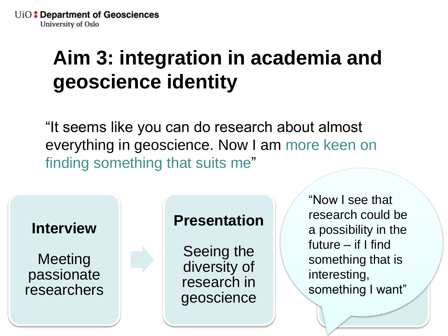# **Aim 3: integration in academia and geoscience identity**

"It seems like you can do research about almost everything in geoscience. Now I am more keen on finding something that suits me"



#### **Presentation**

Seeing the diversity of research in geoscience

**research could be**  $-$  II I IIIIU<br>bina that is illig tildt is.<br>ting rosuny,<br>nathing Lwant" ng mwa "Now I see that a possibility in the future – if I find something that is interesting, something I want"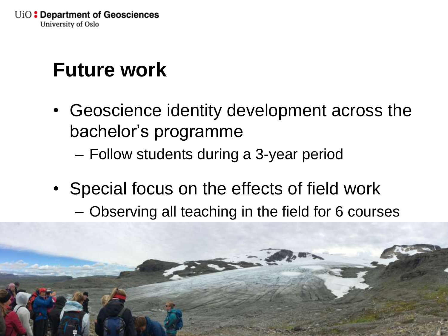# **Future work**

- Geoscience identity development across the bachelor's programme
	- Follow students during a 3-year period
- Special focus on the effects of field work – Observing all teaching in the field for 6 courses